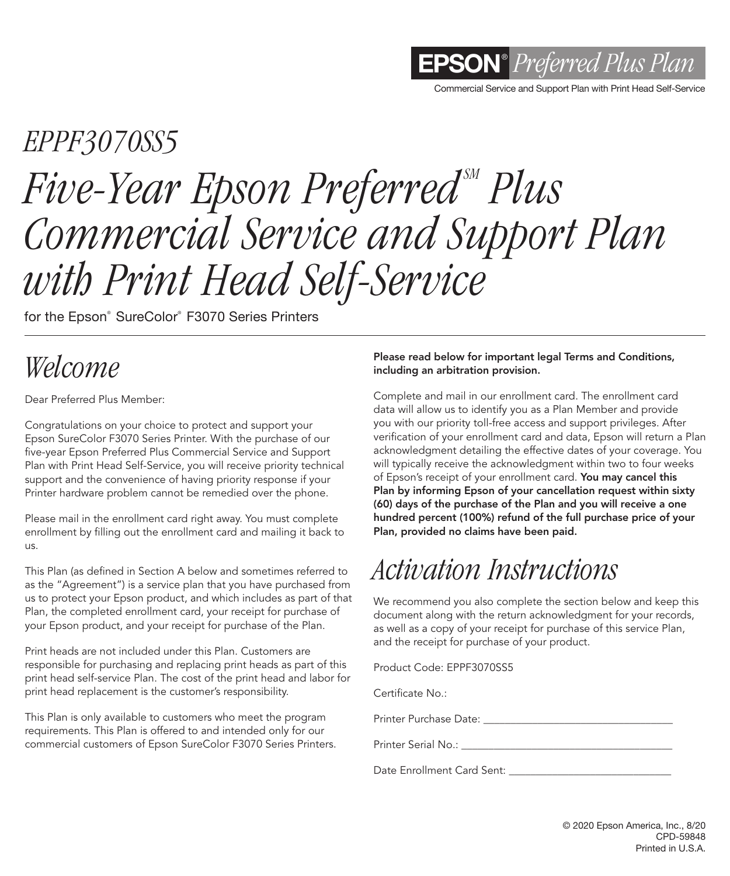

Commercial Service and Support Plan with Print Head Self-Service

# *EPPF3070SS5 Five-Year Epson Preferred<sup>M</sup> Plus Commercial Service and Support Plan with Print Head Self-Service*

for the Epson® SureColor® F3070 Series Printers

### *Welcome*

Dear Preferred Plus Member:

Congratulations on your choice to protect and support your Epson SureColor F3070 Series Printer. With the purchase of our five-year Epson Preferred Plus Commercial Service and Support Plan with Print Head Self-Service, you will receive priority technical support and the convenience of having priority response if your Printer hardware problem cannot be remedied over the phone.

Please mail in the enrollment card right away. You must complete enrollment by filling out the enrollment card and mailing it back to us.

This Plan (as defined in Section A below and sometimes referred to as the "Agreement") is a service plan that you have purchased from us to protect your Epson product, and which includes as part of that Plan, the completed enrollment card, your receipt for purchase of your Epson product, and your receipt for purchase of the Plan.

Print heads are not included under this Plan. Customers are responsible for purchasing and replacing print heads as part of this print head self-service Plan. The cost of the print head and labor for print head replacement is the customer's responsibility.

This Plan is only available to customers who meet the program requirements. This Plan is offered to and intended only for our commercial customers of Epson SureColor F3070 Series Printers.

#### Please read below for important legal Terms and Conditions, including an arbitration provision.

Complete and mail in our enrollment card. The enrollment card data will allow us to identify you as a Plan Member and provide you with our priority toll-free access and support privileges. After verification of your enrollment card and data, Epson will return a Plan acknowledgment detailing the effective dates of your coverage. You will typically receive the acknowledgment within two to four weeks of Epson's receipt of your enrollment card. You may cancel this Plan by informing Epson of your cancellation request within sixty (60) days of the purchase of the Plan and you will receive a one hundred percent (100%) refund of the full purchase price of your Plan, provided no claims have been paid.

### *Activation Instructions*

We recommend you also complete the section below and keep this document along with the return acknowledgment for your records, as well as a copy of your receipt for purchase of this service Plan, and the receipt for purchase of your product.

Product Code: EPPF3070SS5

Certificate No.:

Printer Purchase Date: \_\_\_\_\_\_\_\_\_\_\_\_\_\_\_\_\_\_\_\_\_\_\_\_\_\_\_\_\_\_\_\_\_\_\_

Printer Serial No.:

Date Enrollment Card Sent: \_\_\_\_\_\_\_\_\_\_\_\_\_\_\_\_\_\_\_\_\_\_\_\_\_\_\_\_\_\_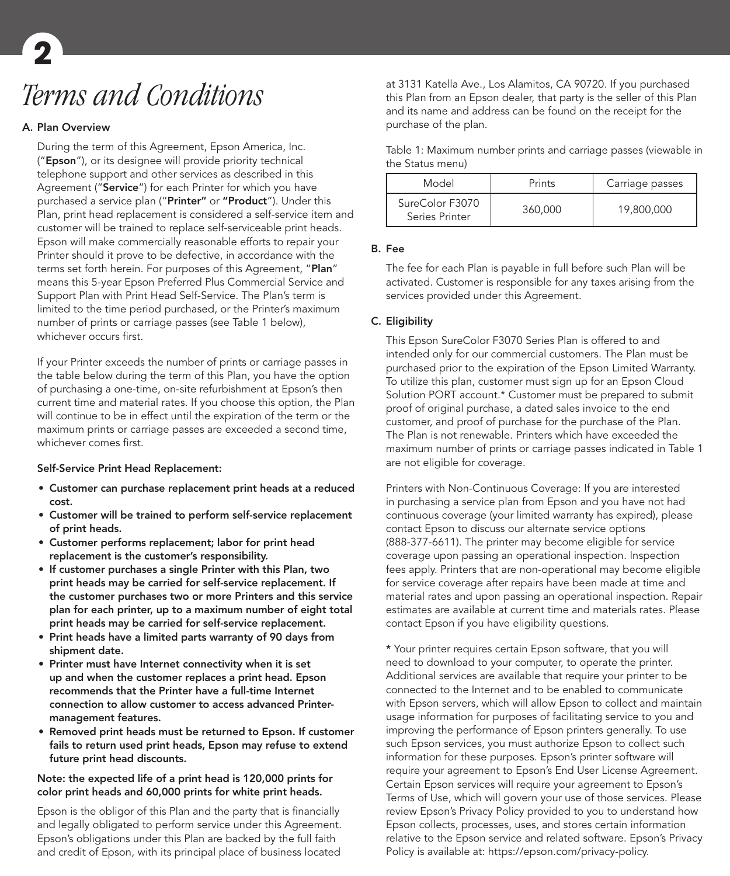## *Terms and Conditions* **2**

#### A. Plan Overview

During the term of this Agreement, Epson America, Inc. ("Epson"), or its designee will provide priority technical telephone support and other services as described in this Agreement ("Service") for each Printer for which you have purchased a service plan ("Printer" or "Product"). Under this Plan, print head replacement is considered a self-service item and customer will be trained to replace self-serviceable print heads. Epson will make commercially reasonable efforts to repair your Printer should it prove to be defective, in accordance with the terms set forth herein. For purposes of this Agreement, "Plan" means this 5-year Epson Preferred Plus Commercial Service and Support Plan with Print Head Self-Service. The Plan's term is limited to the time period purchased, or the Printer's maximum number of prints or carriage passes (see Table 1 below), whichever occurs first.

If your Printer exceeds the number of prints or carriage passes in the table below during the term of this Plan, you have the option of purchasing a one-time, on-site refurbishment at Epson's then current time and material rates. If you choose this option, the Plan will continue to be in effect until the expiration of the term or the maximum prints or carriage passes are exceeded a second time, whichever comes first.

#### Self-Service Print Head Replacement:

- Customer can purchase replacement print heads at a reduced cost.
- Customer will be trained to perform self-service replacement of print heads.
- Customer performs replacement; labor for print head replacement is the customer's responsibility.
- If customer purchases a single Printer with this Plan, two print heads may be carried for self-service replacement. If the customer purchases two or more Printers and this service plan for each printer, up to a maximum number of eight total print heads may be carried for self-service replacement.
- Print heads have a limited parts warranty of 90 days from shipment date.
- Printer must have Internet connectivity when it is set up and when the customer replaces a print head. Epson recommends that the Printer have a full-time Internet connection to allow customer to access advanced Printermanagement features.
- Removed print heads must be returned to Epson. If customer fails to return used print heads, Epson may refuse to extend future print head discounts.

#### Note: the expected life of a print head is 120,000 prints for color print heads and 60,000 prints for white print heads.

Epson is the obligor of this Plan and the party that is financially and legally obligated to perform service under this Agreement. Epson's obligations under this Plan are backed by the full faith and credit of Epson, with its principal place of business located

at 3131 Katella Ave., Los Alamitos, CA 90720. If you purchased this Plan from an Epson dealer, that party is the seller of this Plan and its name and address can be found on the receipt for the purchase of the plan.

| Table 1: Maximum number prints and carriage passes (viewable in |  |  |  |  |
|-----------------------------------------------------------------|--|--|--|--|
| the Status menu)                                                |  |  |  |  |

| Model                             | Prints  | Carriage passes |
|-----------------------------------|---------|-----------------|
| SureColor F3070<br>Series Printer | 360,000 | 19,800,000      |

#### B. Fee

The fee for each Plan is payable in full before such Plan will be activated. Customer is responsible for any taxes arising from the services provided under this Agreement.

#### C. Eligibility

This Epson SureColor F3070 Series Plan is offered to and intended only for our commercial customers. The Plan must be purchased prior to the expiration of the Epson Limited Warranty. To utilize this plan, customer must sign up for an Epson Cloud Solution PORT account.\* Customer must be prepared to submit proof of original purchase, a dated sales invoice to the end customer, and proof of purchase for the purchase of the Plan. The Plan is not renewable. Printers which have exceeded the maximum number of prints or carriage passes indicated in Table 1 are not eligible for coverage.

Printers with Non-Continuous Coverage: If you are interested in purchasing a service plan from Epson and you have not had continuous coverage (your limited warranty has expired), please contact Epson to discuss our alternate service options (888-377-6611). The printer may become eligible for service coverage upon passing an operational inspection. Inspection fees apply. Printers that are non-operational may become eligible for service coverage after repairs have been made at time and material rates and upon passing an operational inspection. Repair estimates are available at current time and materials rates. Please contact Epson if you have eligibility questions.

\* Your printer requires certain Epson software, that you will need to download to your computer, to operate the printer. Additional services are available that require your printer to be connected to the Internet and to be enabled to communicate with Epson servers, which will allow Epson to collect and maintain usage information for purposes of facilitating service to you and improving the performance of Epson printers generally. To use such Epson services, you must authorize Epson to collect such information for these purposes. Epson's printer software will require your agreement to Epson's End User License Agreement. Certain Epson services will require your agreement to Epson's Terms of Use, which will govern your use of those services. Please review Epson's Privacy Policy provided to you to understand how Epson collects, processes, uses, and stores certain information relative to the Epson service and related software. Epson's Privacy Policy is available at: https://epson.com/privacy-policy.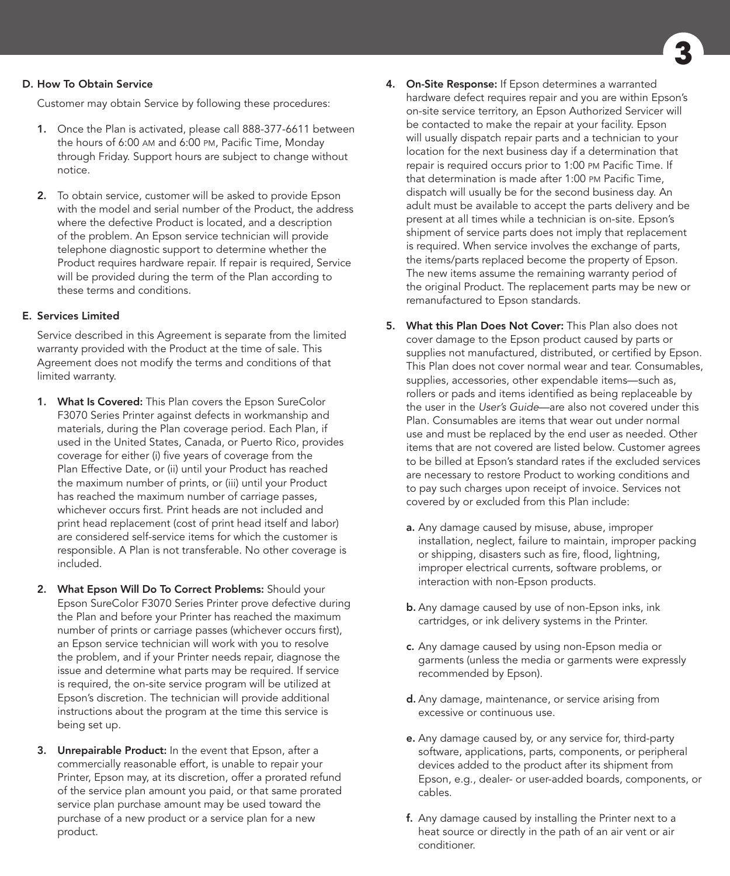#### D. How To Obtain Service

Customer may obtain Service by following these procedures:

- 1. Once the Plan is activated, please call 888-377-6611 between the hours of 6:00 am and 6:00 pm, Pacific Time, Monday through Friday. Support hours are subject to change without notice.
- 2. To obtain service, customer will be asked to provide Epson with the model and serial number of the Product, the address where the defective Product is located, and a description of the problem. An Epson service technician will provide telephone diagnostic support to determine whether the Product requires hardware repair. If repair is required, Service will be provided during the term of the Plan according to these terms and conditions.

#### E. Services Limited

Service described in this Agreement is separate from the limited warranty provided with the Product at the time of sale. This Agreement does not modify the terms and conditions of that limited warranty.

- 1. What Is Covered: This Plan covers the Epson SureColor F3070 Series Printer against defects in workmanship and materials, during the Plan coverage period. Each Plan, if used in the United States, Canada, or Puerto Rico, provides coverage for either (i) five years of coverage from the Plan Effective Date, or (ii) until your Product has reached the maximum number of prints, or (iii) until your Product has reached the maximum number of carriage passes, whichever occurs first. Print heads are not included and print head replacement (cost of print head itself and labor) are considered self-service items for which the customer is responsible. A Plan is not transferable. No other coverage is included.
- 2. What Epson Will Do To Correct Problems: Should your Epson SureColor F3070 Series Printer prove defective during the Plan and before your Printer has reached the maximum number of prints or carriage passes (whichever occurs first), an Epson service technician will work with you to resolve the problem, and if your Printer needs repair, diagnose the issue and determine what parts may be required. If service is required, the on-site service program will be utilized at Epson's discretion. The technician will provide additional instructions about the program at the time this service is being set up.
- 3. Unrepairable Product: In the event that Epson, after a commercially reasonable effort, is unable to repair your Printer, Epson may, at its discretion, offer a prorated refund of the service plan amount you paid, or that same prorated service plan purchase amount may be used toward the purchase of a new product or a service plan for a new product.
- 4. On-Site Response: If Epson determines a warranted hardware defect requires repair and you are within Epson's on-site service territory, an Epson Authorized Servicer will be contacted to make the repair at your facility. Epson will usually dispatch repair parts and a technician to your location for the next business day if a determination that repair is required occurs prior to 1:00 pm Pacific Time. If that determination is made after 1:00 pm Pacific Time, dispatch will usually be for the second business day. An adult must be available to accept the parts delivery and be present at all times while a technician is on-site. Epson's shipment of service parts does not imply that replacement is required. When service involves the exchange of parts, the items/parts replaced become the property of Epson. The new items assume the remaining warranty period of the original Product. The replacement parts may be new or remanufactured to Epson standards.
- 5. What this Plan Does Not Cover: This Plan also does not cover damage to the Epson product caused by parts or supplies not manufactured, distributed, or certified by Epson. This Plan does not cover normal wear and tear. Consumables, supplies, accessories, other expendable items—such as, rollers or pads and items identified as being replaceable by the user in the *User's Guide*—are also not covered under this Plan. Consumables are items that wear out under normal use and must be replaced by the end user as needed. Other items that are not covered are listed below. Customer agrees to be billed at Epson's standard rates if the excluded services are necessary to restore Product to working conditions and to pay such charges upon receipt of invoice. Services not covered by or excluded from this Plan include:
	- a. Any damage caused by misuse, abuse, improper installation, neglect, failure to maintain, improper packing or shipping, disasters such as fire, flood, lightning, improper electrical currents, software problems, or interaction with non-Epson products.
	- **b.** Any damage caused by use of non-Epson inks, ink cartridges, or ink delivery systems in the Printer.
	- c. Any damage caused by using non-Epson media or garments (unless the media or garments were expressly recommended by Epson).
	- d. Any damage, maintenance, or service arising from excessive or continuous use.
	- e. Any damage caused by, or any service for, third-party software, applications, parts, components, or peripheral devices added to the product after its shipment from Epson, e.g., dealer- or user-added boards, components, or cables.
	- f. Any damage caused by installing the Printer next to a heat source or directly in the path of an air vent or air conditioner.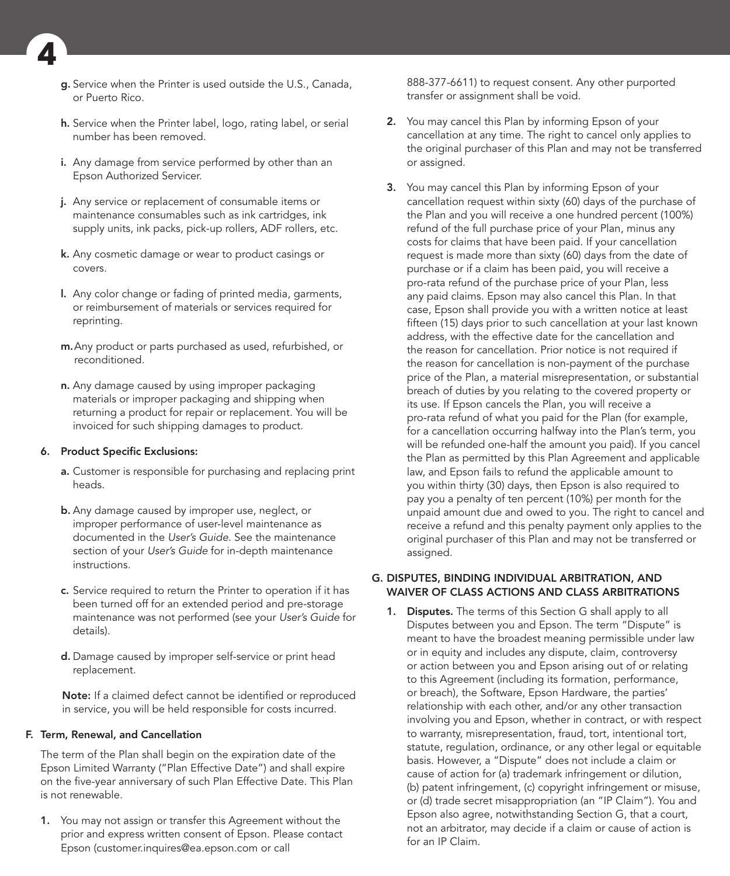

- g. Service when the Printer is used outside the U.S., Canada, or Puerto Rico.
- h. Service when the Printer label, logo, rating label, or serial number has been removed.
- i. Any damage from service performed by other than an Epson Authorized Servicer.
- j. Any service or replacement of consumable items or maintenance consumables such as ink cartridges, ink supply units, ink packs, pick-up rollers, ADF rollers, etc.
- k. Any cosmetic damage or wear to product casings or covers.
- l. Any color change or fading of printed media, garments, or reimbursement of materials or services required for reprinting.
- m.Any product or parts purchased as used, refurbished, or reconditioned.
- n. Any damage caused by using improper packaging materials or improper packaging and shipping when returning a product for repair or replacement. You will be invoiced for such shipping damages to product.

#### 6. Product Specific Exclusions:

- a. Customer is responsible for purchasing and replacing print heads.
- b. Any damage caused by improper use, neglect, or improper performance of user-level maintenance as documented in the *User's Guide*. See the maintenance section of your *User's Guide* for in-depth maintenance instructions.
- c. Service required to return the Printer to operation if it has been turned off for an extended period and pre-storage maintenance was not performed (see your *User's Guide* for details).
- d. Damage caused by improper self-service or print head replacement.

Note: If a claimed defect cannot be identified or reproduced in service, you will be held responsible for costs incurred.

#### F. Term, Renewal, and Cancellation

The term of the Plan shall begin on the expiration date of the Epson Limited Warranty ("Plan Effective Date") and shall expire on the five-year anniversary of such Plan Effective Date. This Plan is not renewable.

1. You may not assign or transfer this Agreement without the prior and express written consent of Epson. Please contact Epson (customer.inquires@ea.epson.com or call

888-377-6611) to request consent. Any other purported transfer or assignment shall be void.

- 2. You may cancel this Plan by informing Epson of your cancellation at any time. The right to cancel only applies to the original purchaser of this Plan and may not be transferred or assigned.
- 3. You may cancel this Plan by informing Epson of your cancellation request within sixty (60) days of the purchase of the Plan and you will receive a one hundred percent (100%) refund of the full purchase price of your Plan, minus any costs for claims that have been paid. If your cancellation request is made more than sixty (60) days from the date of purchase or if a claim has been paid, you will receive a pro-rata refund of the purchase price of your Plan, less any paid claims. Epson may also cancel this Plan. In that case, Epson shall provide you with a written notice at least fifteen (15) days prior to such cancellation at your last known address, with the effective date for the cancellation and the reason for cancellation. Prior notice is not required if the reason for cancellation is non-payment of the purchase price of the Plan, a material misrepresentation, or substantial breach of duties by you relating to the covered property or its use. If Epson cancels the Plan, you will receive a pro-rata refund of what you paid for the Plan (for example, for a cancellation occurring halfway into the Plan's term, you will be refunded one-half the amount you paid). If you cancel the Plan as permitted by this Plan Agreement and applicable law, and Epson fails to refund the applicable amount to you within thirty (30) days, then Epson is also required to pay you a penalty of ten percent (10%) per month for the unpaid amount due and owed to you. The right to cancel and receive a refund and this penalty payment only applies to the original purchaser of this Plan and may not be transferred or assigned.

#### G. DISPUTES, BINDING INDIVIDUAL ARBITRATION, AND WAIVER OF CLASS ACTIONS AND CLASS ARBITRATIONS

1. Disputes. The terms of this Section G shall apply to all Disputes between you and Epson. The term "Dispute" is meant to have the broadest meaning permissible under law or in equity and includes any dispute, claim, controversy or action between you and Epson arising out of or relating to this Agreement (including its formation, performance, or breach), the Software, Epson Hardware, the parties' relationship with each other, and/or any other transaction involving you and Epson, whether in contract, or with respect to warranty, misrepresentation, fraud, tort, intentional tort, statute, regulation, ordinance, or any other legal or equitable basis. However, a "Dispute" does not include a claim or cause of action for (a) trademark infringement or dilution, (b) patent infringement, (c) copyright infringement or misuse, or (d) trade secret misappropriation (an "IP Claim"). You and Epson also agree, notwithstanding Section G, that a court, not an arbitrator, may decide if a claim or cause of action is for an IP Claim.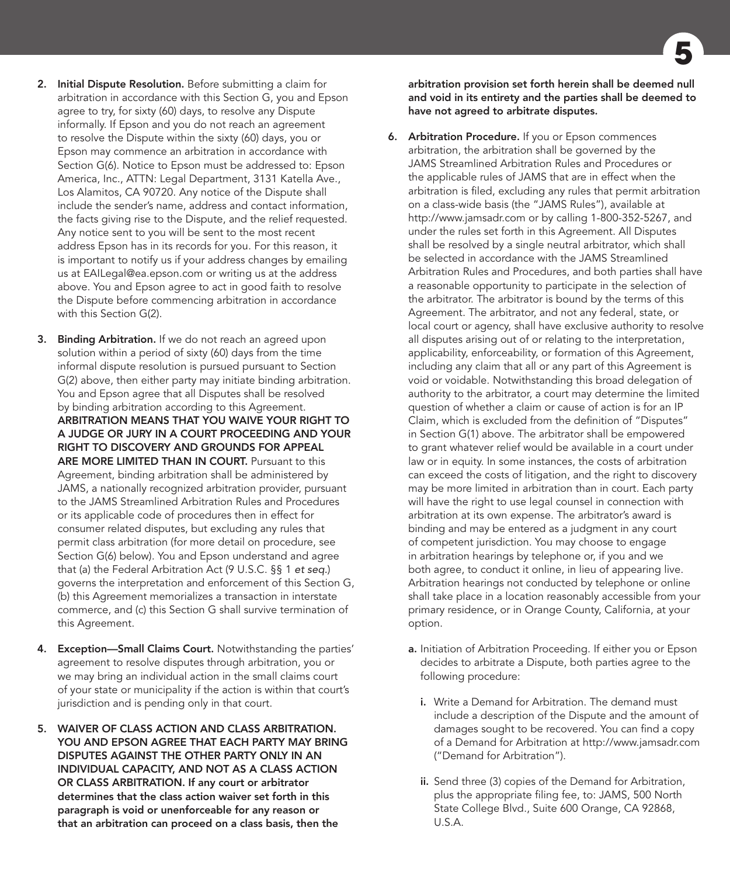**5**

- 2. Initial Dispute Resolution. Before submitting a claim for arbitration in accordance with this Section G, you and Epson agree to try, for sixty (60) days, to resolve any Dispute informally. If Epson and you do not reach an agreement to resolve the Dispute within the sixty (60) days, you or Epson may commence an arbitration in accordance with Section G(6). Notice to Epson must be addressed to: Epson America, Inc., ATTN: Legal Department, 3131 Katella Ave., Los Alamitos, CA 90720. Any notice of the Dispute shall include the sender's name, address and contact information, the facts giving rise to the Dispute, and the relief requested. Any notice sent to you will be sent to the most recent address Epson has in its records for you. For this reason, it is important to notify us if your address changes by emailing us at EAILegal@ea.epson.com or writing us at the address above. You and Epson agree to act in good faith to resolve the Dispute before commencing arbitration in accordance with this Section G(2).
- 3. Binding Arbitration. If we do not reach an agreed upon solution within a period of sixty (60) days from the time informal dispute resolution is pursued pursuant to Section G(2) above, then either party may initiate binding arbitration. You and Epson agree that all Disputes shall be resolved by binding arbitration according to this Agreement. ARBITRATION MEANS THAT YOU WAIVE YOUR RIGHT TO A JUDGE OR JURY IN A COURT PROCEEDING AND YOUR RIGHT TO DISCOVERY AND GROUNDS FOR APPEAL ARE MORE LIMITED THAN IN COURT. Pursuant to this Agreement, binding arbitration shall be administered by JAMS, a nationally recognized arbitration provider, pursuant to the JAMS Streamlined Arbitration Rules and Procedures or its applicable code of procedures then in effect for consumer related disputes, but excluding any rules that permit class arbitration (for more detail on procedure, see Section G(6) below). You and Epson understand and agree that (a) the Federal Arbitration Act (9 U.S.C. §§ 1 *et seq.*) governs the interpretation and enforcement of this Section G, (b) this Agreement memorializes a transaction in interstate commerce, and (c) this Section G shall survive termination of this Agreement.
- 4. Exception-Small Claims Court. Notwithstanding the parties' agreement to resolve disputes through arbitration, you or we may bring an individual action in the small claims court of your state or municipality if the action is within that court's jurisdiction and is pending only in that court.
- 5. WAIVER OF CLASS ACTION AND CLASS ARBITRATION. YOU AND EPSON AGREE THAT EACH PARTY MAY BRING DISPUTES AGAINST THE OTHER PARTY ONLY IN AN INDIVIDUAL CAPACITY, AND NOT AS A CLASS ACTION OR CLASS ARBITRATION. If any court or arbitrator determines that the class action waiver set forth in this paragraph is void or unenforceable for any reason or that an arbitration can proceed on a class basis, then the

arbitration provision set forth herein shall be deemed null and void in its entirety and the parties shall be deemed to have not agreed to arbitrate disputes.

- **6.** Arbitration Procedure. If you or Epson commences arbitration, the arbitration shall be governed by the JAMS Streamlined Arbitration Rules and Procedures or the applicable rules of JAMS that are in effect when the arbitration is filed, excluding any rules that permit arbitration on a class-wide basis (the "JAMS Rules"), available at http://www.jamsadr.com or by calling 1-800-352-5267, and under the rules set forth in this Agreement. All Disputes shall be resolved by a single neutral arbitrator, which shall be selected in accordance with the JAMS Streamlined Arbitration Rules and Procedures, and both parties shall have a reasonable opportunity to participate in the selection of the arbitrator. The arbitrator is bound by the terms of this Agreement. The arbitrator, and not any federal, state, or local court or agency, shall have exclusive authority to resolve all disputes arising out of or relating to the interpretation, applicability, enforceability, or formation of this Agreement, including any claim that all or any part of this Agreement is void or voidable. Notwithstanding this broad delegation of authority to the arbitrator, a court may determine the limited question of whether a claim or cause of action is for an IP Claim, which is excluded from the definition of "Disputes" in Section G(1) above. The arbitrator shall be empowered to grant whatever relief would be available in a court under law or in equity. In some instances, the costs of arbitration can exceed the costs of litigation, and the right to discovery may be more limited in arbitration than in court. Each party will have the right to use legal counsel in connection with arbitration at its own expense. The arbitrator's award is binding and may be entered as a judgment in any court of competent jurisdiction. You may choose to engage in arbitration hearings by telephone or, if you and we both agree, to conduct it online, in lieu of appearing live. Arbitration hearings not conducted by telephone or online shall take place in a location reasonably accessible from your primary residence, or in Orange County, California, at your option.
	- a. Initiation of Arbitration Proceeding. If either you or Epson decides to arbitrate a Dispute, both parties agree to the following procedure:
		- i. Write a Demand for Arbitration. The demand must include a description of the Dispute and the amount of damages sought to be recovered. You can find a copy of a Demand for Arbitration at http://www.jamsadr.com ("Demand for Arbitration").
		- ii. Send three (3) copies of the Demand for Arbitration, plus the appropriate filing fee, to: JAMS, 500 North State College Blvd., Suite 600 Orange, CA 92868, U.S.A.